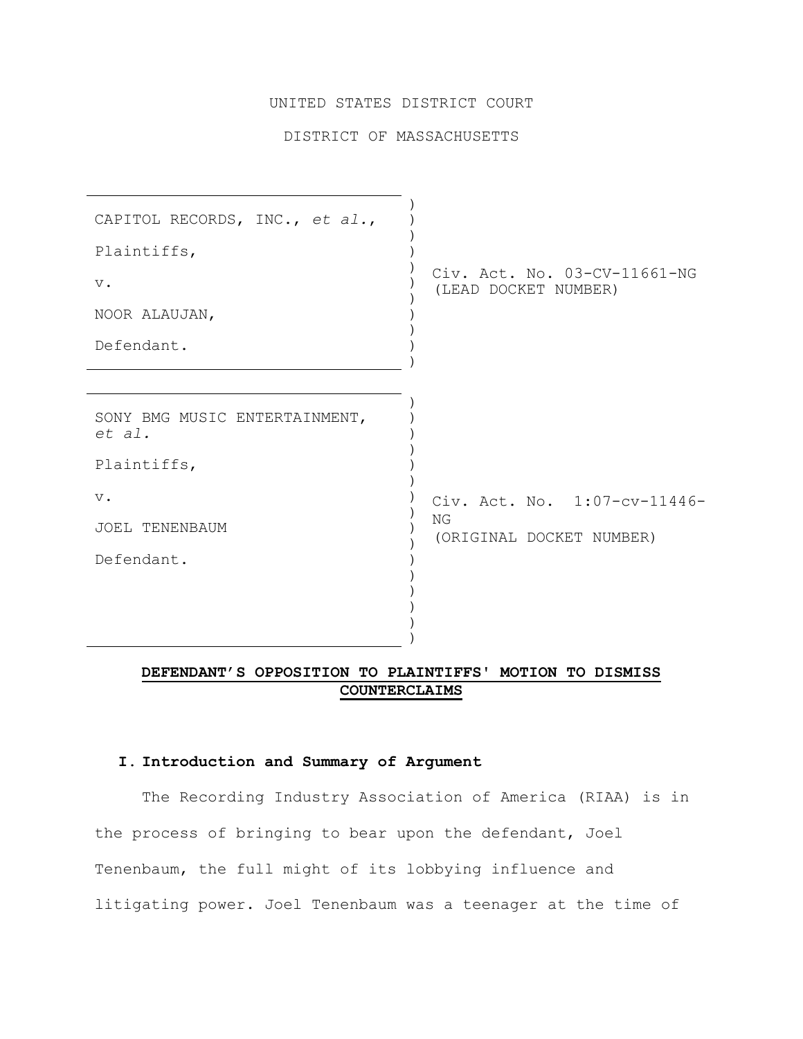## UNITED STATES DISTRICT COURT

## DISTRICT OF MASSACHUSETTS

| CAPITOL RECORDS, INC., et al.,          |                                                      |
|-----------------------------------------|------------------------------------------------------|
| Plaintiffs,                             |                                                      |
| $V$ .                                   | Civ. Act. No. 03-CV-11661-NG<br>(LEAD DOCKET NUMBER) |
| NOOR ALAUJAN,                           |                                                      |
| Defendant.                              |                                                      |
|                                         |                                                      |
| SONY BMG MUSIC ENTERTAINMENT,<br>et al. |                                                      |
| Plaintiffs,                             |                                                      |
| $V$ .                                   | Civ. Act. No. 1:07-cv-11446-                         |
| JOEL TENENBAUM                          | NG<br>(ORIGINAL DOCKET NUMBER)                       |
| Defendant.                              |                                                      |
|                                         |                                                      |
|                                         |                                                      |
|                                         |                                                      |

# **DEFENDANT'S OPPOSITION TO PLAINTIFFS' MOTION TO DISMISS COUNTERCLAIMS**

### **I. Introduction and Summary of Argument**

The Recording Industry Association of America (RIAA) is in the process of bringing to bear upon the defendant, Joel Tenenbaum, the full might of its lobbying influence and litigating power. Joel Tenenbaum was a teenager at the time of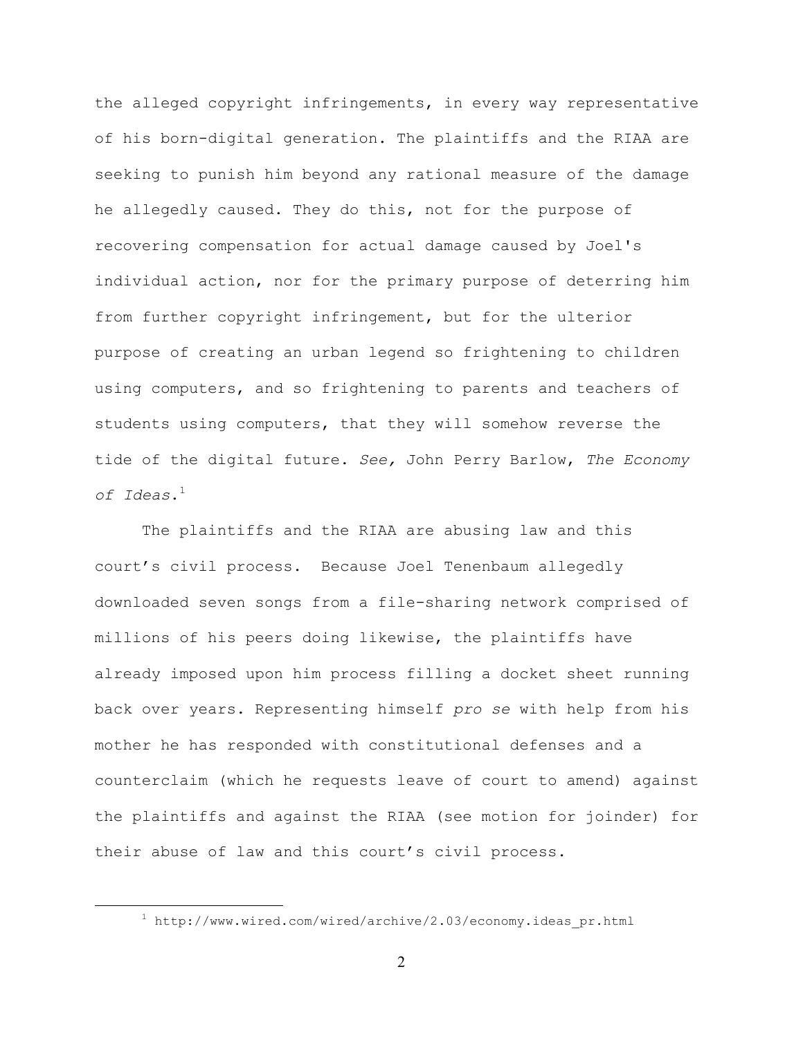the alleged copyright infringements, in every way representative of his born-digital generation. The plaintiffs and the RIAA are seeking to punish him beyond any rational measure of the damage he allegedly caused. They do this, not for the purpose of recovering compensation for actual damage caused by Joel's individual action, nor for the primary purpose of deterring him from further copyright infringement, but for the ulterior purpose of creating an urban legend so frightening to children using computers, and so frightening to parents and teachers of students using computers, that they will somehow reverse the tide of the digital future. *See,* John Perry Barlow, *The Economy of Ideas*.1

The plaintiffs and the RIAA are abusing law and this court's civil process. Because Joel Tenenbaum allegedly downloaded seven songs from a file-sharing network comprised of millions of his peers doing likewise, the plaintiffs have already imposed upon him process filling a docket sheet running back over years. Representing himself *pro se* with help from his mother he has responded with constitutional defenses and a counterclaim (which he requests leave of court to amend) against the plaintiffs and against the RIAA (see motion for joinder) for their abuse of law and this court's civil process.

 $\overline{\phantom{a}}$  $1$  http://www.wired.com/wired/archive/2.03/economy.ideas pr.html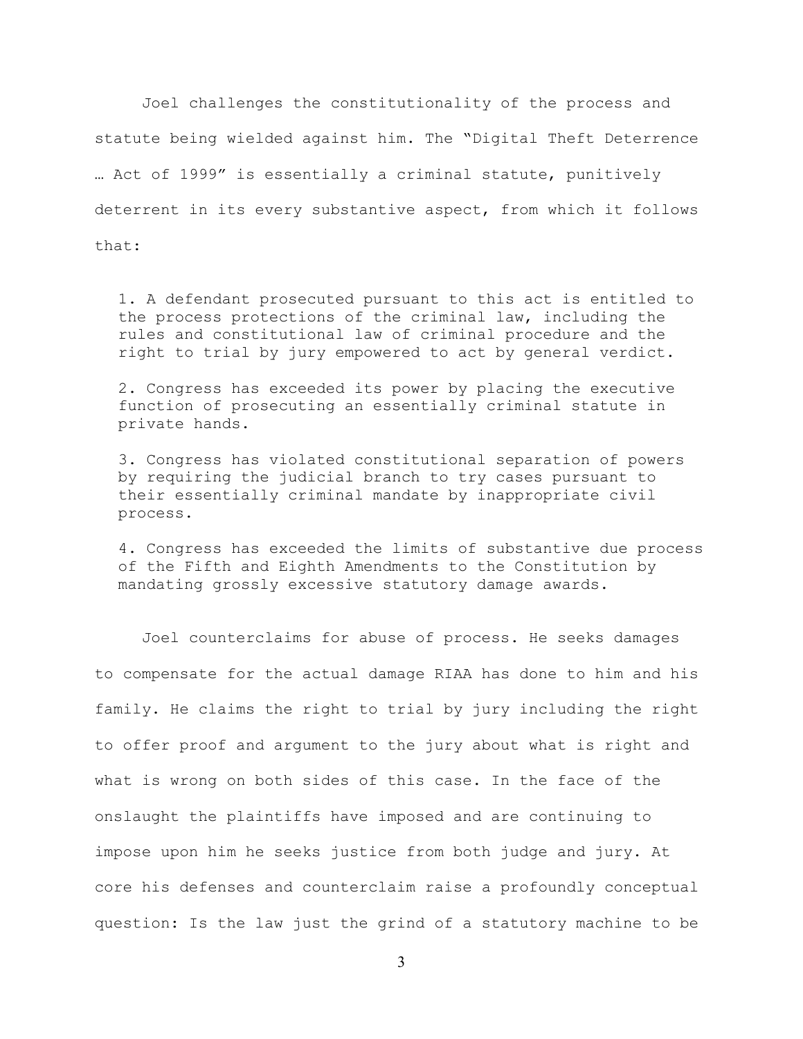Joel challenges the constitutionality of the process and statute being wielded against him. The "Digital Theft Deterrence … Act of 1999" is essentially a criminal statute, punitively deterrent in its every substantive aspect, from which it follows that:

1. A defendant prosecuted pursuant to this act is entitled to the process protections of the criminal law, including the rules and constitutional law of criminal procedure and the right to trial by jury empowered to act by general verdict.

2. Congress has exceeded its power by placing the executive function of prosecuting an essentially criminal statute in private hands.

3. Congress has violated constitutional separation of powers by requiring the judicial branch to try cases pursuant to their essentially criminal mandate by inappropriate civil process.

4. Congress has exceeded the limits of substantive due process of the Fifth and Eighth Amendments to the Constitution by mandating grossly excessive statutory damage awards.

Joel counterclaims for abuse of process. He seeks damages to compensate for the actual damage RIAA has done to him and his family. He claims the right to trial by jury including the right to offer proof and argument to the jury about what is right and what is wrong on both sides of this case. In the face of the onslaught the plaintiffs have imposed and are continuing to impose upon him he seeks justice from both judge and jury. At core his defenses and counterclaim raise a profoundly conceptual question: Is the law just the grind of a statutory machine to be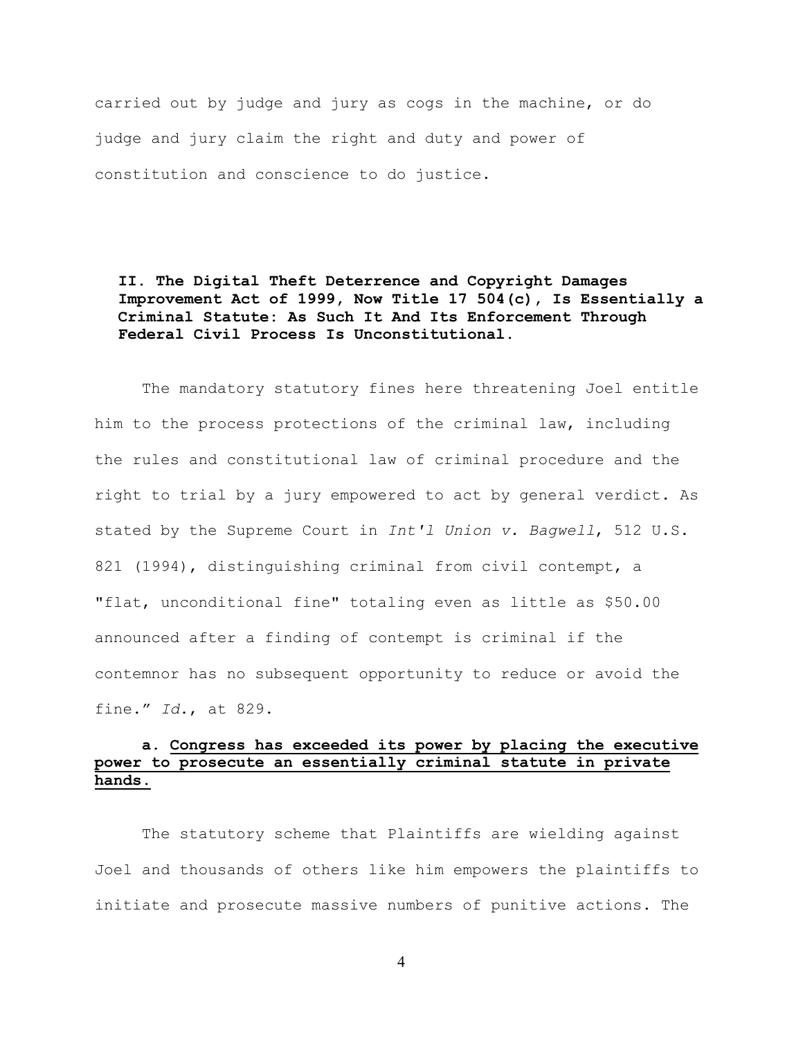carried out by judge and jury as cogs in the machine, or do judge and jury claim the right and duty and power of constitution and conscience to do justice.

**II. The Digital Theft Deterrence and Copyright Damages Improvement Act of 1999, Now Title 17 504(c), Is Essentially a Criminal Statute: As Such It And Its Enforcement Through Federal Civil Process Is Unconstitutional.**

The mandatory statutory fines here threatening Joel entitle him to the process protections of the criminal law, including the rules and constitutional law of criminal procedure and the right to trial by a jury empowered to act by general verdict. As stated by the Supreme Court in *Int'l Union v. Bagwell*, 512 U.S. 821 (1994), distinguishing criminal from civil contempt, a "flat, unconditional fine" totaling even as little as \$50.00 announced after a finding of contempt is criminal if the contemnor has no subsequent opportunity to reduce or avoid the fine." *Id*., at 829.

# **a. Congress has exceeded its power by placing the executive power to prosecute an essentially criminal statute in private hands.**

The statutory scheme that Plaintiffs are wielding against Joel and thousands of others like him empowers the plaintiffs to initiate and prosecute massive numbers of punitive actions. The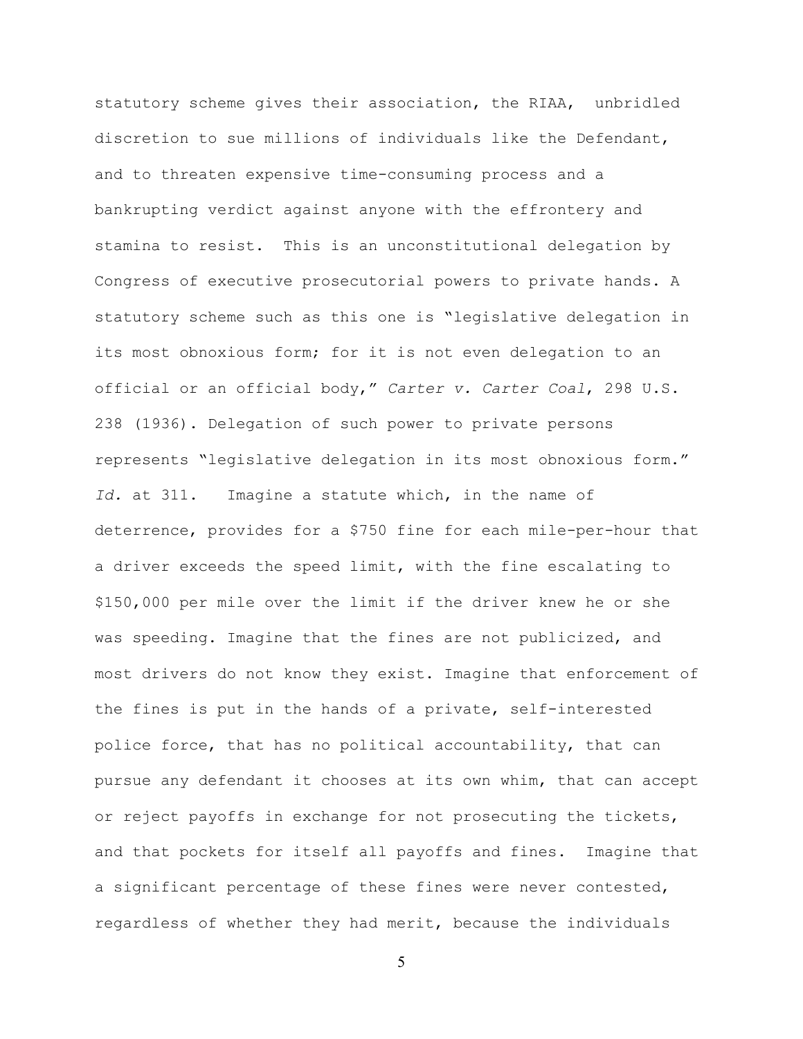statutory scheme gives their association, the RIAA, unbridled discretion to sue millions of individuals like the Defendant, and to threaten expensive time-consuming process and a bankrupting verdict against anyone with the effrontery and stamina to resist. This is an unconstitutional delegation by Congress of executive prosecutorial powers to private hands. A statutory scheme such as this one is "legislative delegation in its most obnoxious form; for it is not even delegation to an official or an official body," *Carter v. Carter Coal*, 298 U.S. 238 (1936). Delegation of such power to private persons represents "legislative delegation in its most obnoxious form." *Id.* at 311. Imagine a statute which, in the name of deterrence, provides for a \$750 fine for each mile-per-hour that a driver exceeds the speed limit, with the fine escalating to \$150,000 per mile over the limit if the driver knew he or she was speeding. Imagine that the fines are not publicized, and most drivers do not know they exist. Imagine that enforcement of the fines is put in the hands of a private, self-interested police force, that has no political accountability, that can pursue any defendant it chooses at its own whim, that can accept or reject payoffs in exchange for not prosecuting the tickets, and that pockets for itself all payoffs and fines. Imagine that a significant percentage of these fines were never contested, regardless of whether they had merit, because the individuals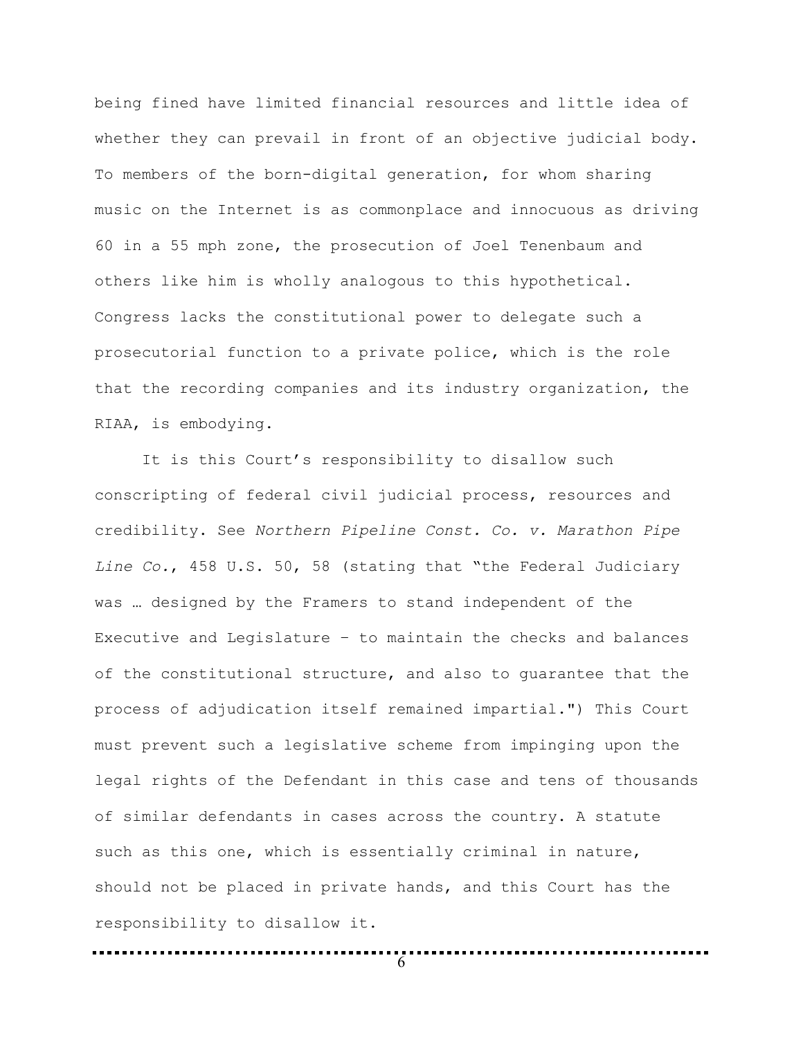being fined have limited financial resources and little idea of whether they can prevail in front of an objective judicial body. To members of the born-digital generation, for whom sharing music on the Internet is as commonplace and innocuous as driving 60 in a 55 mph zone, the prosecution of Joel Tenenbaum and others like him is wholly analogous to this hypothetical. Congress lacks the constitutional power to delegate such a prosecutorial function to a private police, which is the role that the recording companies and its industry organization, the RIAA, is embodying.

It is this Court's responsibility to disallow such conscripting of federal civil judicial process, resources and credibility. See *Northern Pipeline Const. Co. v. Marathon Pipe Line Co.*, 458 U.S. 50, 58 (stating that "the Federal Judiciary was … designed by the Framers to stand independent of the Executive and Legislature – to maintain the checks and balances of the constitutional structure, and also to guarantee that the process of adjudication itself remained impartial.") This Court must prevent such a legislative scheme from impinging upon the legal rights of the Defendant in this case and tens of thousands of similar defendants in cases across the country. A statute such as this one, which is essentially criminal in nature, should not be placed in private hands, and this Court has the responsibility to disallow it.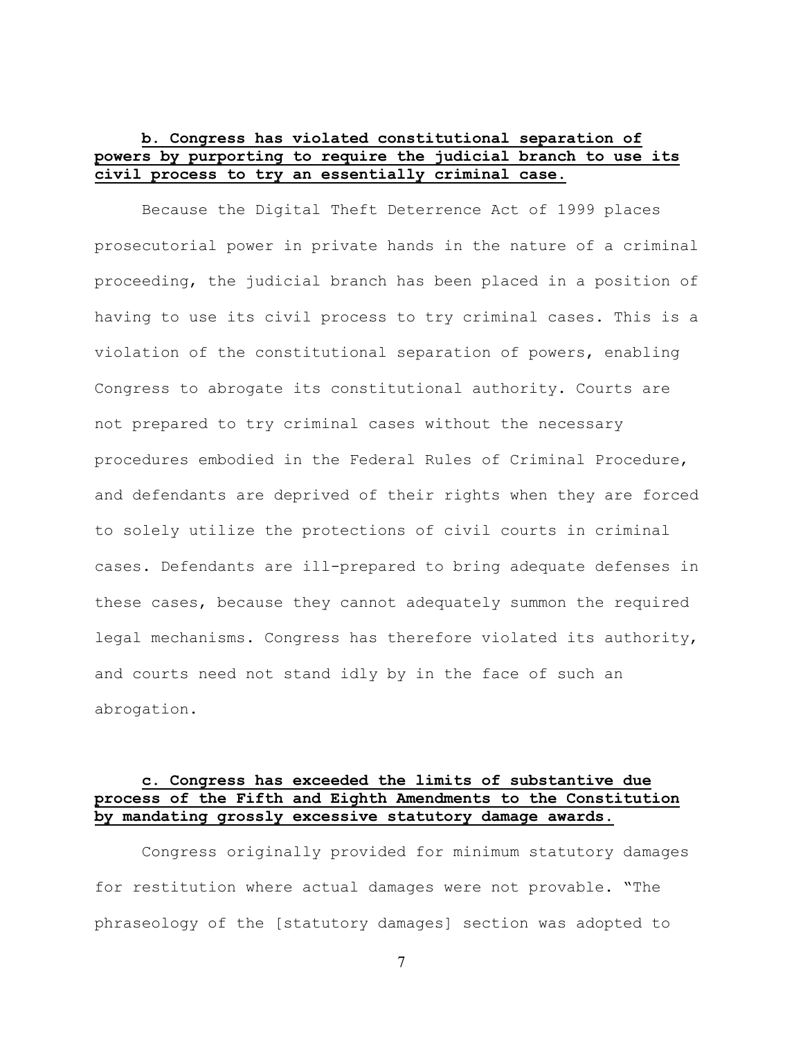# **b. Congress has violated constitutional separation of powers by purporting to require the judicial branch to use its civil process to try an essentially criminal case.**

Because the Digital Theft Deterrence Act of 1999 places prosecutorial power in private hands in the nature of a criminal proceeding, the judicial branch has been placed in a position of having to use its civil process to try criminal cases. This is a violation of the constitutional separation of powers, enabling Congress to abrogate its constitutional authority. Courts are not prepared to try criminal cases without the necessary procedures embodied in the Federal Rules of Criminal Procedure, and defendants are deprived of their rights when they are forced to solely utilize the protections of civil courts in criminal cases. Defendants are ill-prepared to bring adequate defenses in these cases, because they cannot adequately summon the required legal mechanisms. Congress has therefore violated its authority, and courts need not stand idly by in the face of such an abrogation.

# **c. Congress has exceeded the limits of substantive due process of the Fifth and Eighth Amendments to the Constitution by mandating grossly excessive statutory damage awards.**

Congress originally provided for minimum statutory damages for restitution where actual damages were not provable. "The phraseology of the [statutory damages] section was adopted to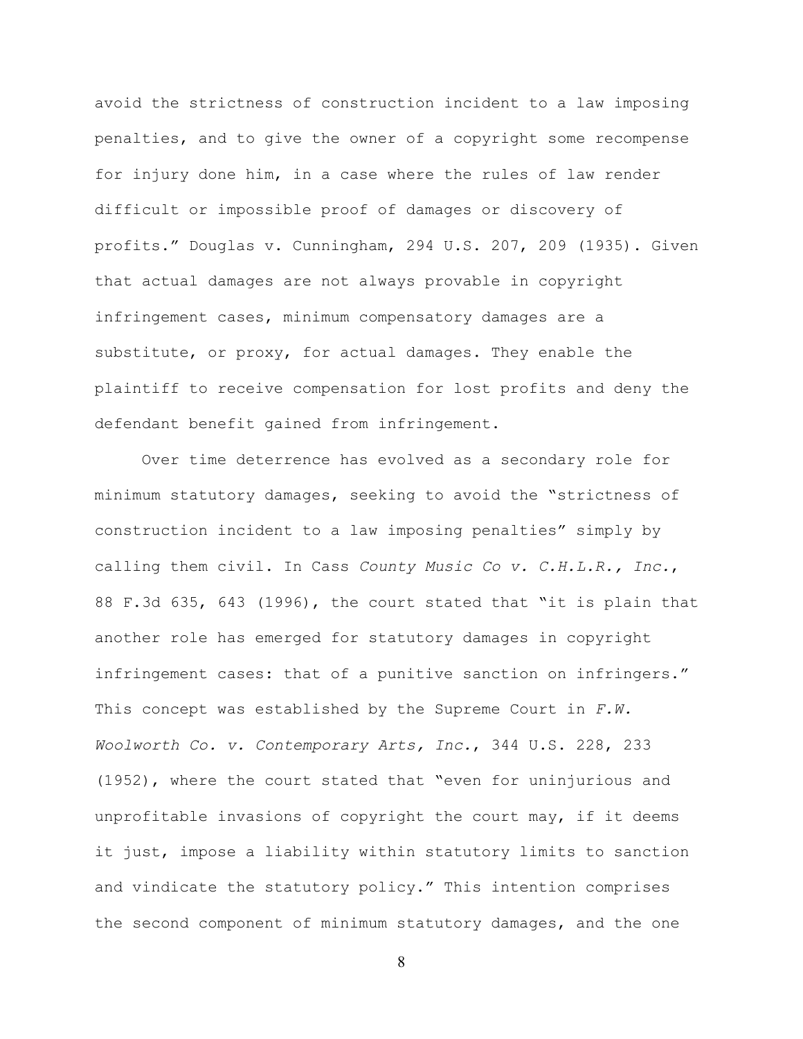avoid the strictness of construction incident to a law imposing penalties, and to give the owner of a copyright some recompense for injury done him, in a case where the rules of law render difficult or impossible proof of damages or discovery of profits." Douglas v. Cunningham, 294 U.S. 207, 209 (1935). Given that actual damages are not always provable in copyright infringement cases, minimum compensatory damages are a substitute, or proxy, for actual damages. They enable the plaintiff to receive compensation for lost profits and deny the defendant benefit gained from infringement.

Over time deterrence has evolved as a secondary role for minimum statutory damages, seeking to avoid the "strictness of construction incident to a law imposing penalties" simply by calling them civil. In Cass *County Music Co v. C.H.L.R., Inc.*, 88 F.3d 635, 643 (1996), the court stated that "it is plain that another role has emerged for statutory damages in copyright infringement cases: that of a punitive sanction on infringers." This concept was established by the Supreme Court in *F.W. Woolworth Co. v. Contemporary Arts, Inc.*, 344 U.S. 228, 233 (1952), where the court stated that "even for uninjurious and unprofitable invasions of copyright the court may, if it deems it just, impose a liability within statutory limits to sanction and vindicate the statutory policy." This intention comprises the second component of minimum statutory damages, and the one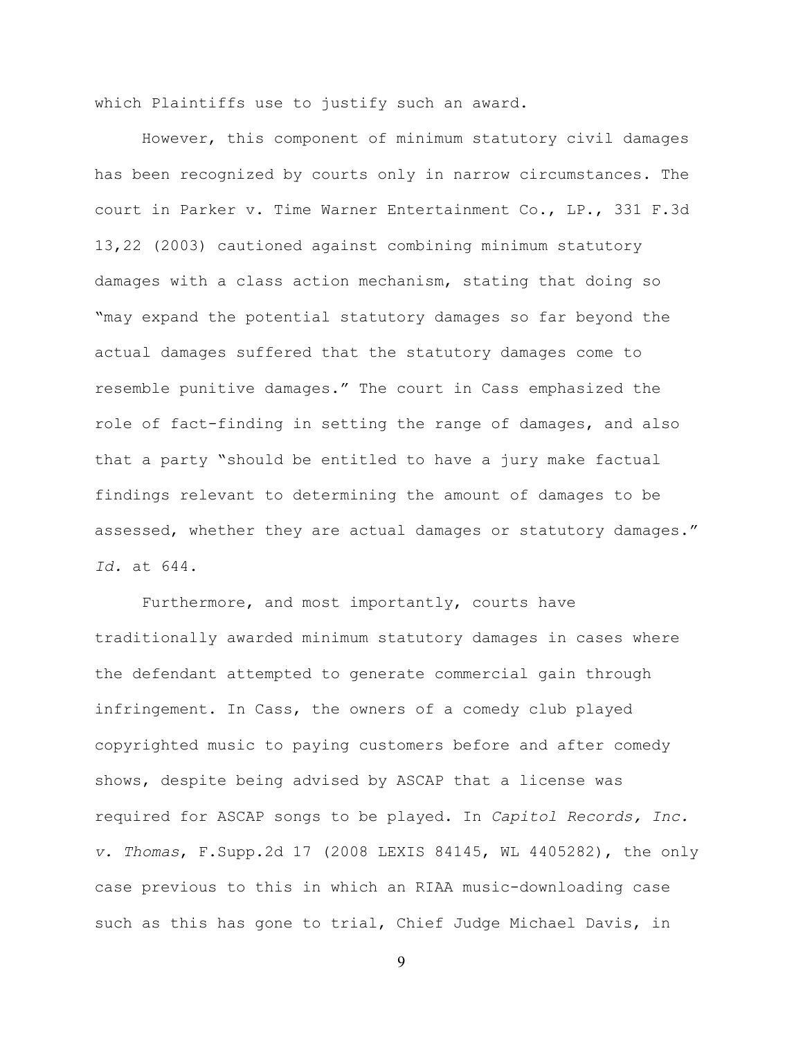which Plaintiffs use to justify such an award.

However, this component of minimum statutory civil damages has been recognized by courts only in narrow circumstances. The court in Parker v. Time Warner Entertainment Co., LP., 331 F.3d 13,22 (2003) cautioned against combining minimum statutory damages with a class action mechanism, stating that doing so "may expand the potential statutory damages so far beyond the actual damages suffered that the statutory damages come to resemble punitive damages." The court in Cass emphasized the role of fact-finding in setting the range of damages, and also that a party "should be entitled to have a jury make factual findings relevant to determining the amount of damages to be assessed, whether they are actual damages or statutory damages." *Id.* at 644.

Furthermore, and most importantly, courts have traditionally awarded minimum statutory damages in cases where the defendant attempted to generate commercial gain through infringement. In Cass, the owners of a comedy club played copyrighted music to paying customers before and after comedy shows, despite being advised by ASCAP that a license was required for ASCAP songs to be played. In *Capitol Records, Inc. v. Thomas*, F.Supp.2d 17 (2008 LEXIS 84145, WL 4405282), the only case previous to this in which an RIAA music-downloading case such as this has gone to trial, Chief Judge Michael Davis, in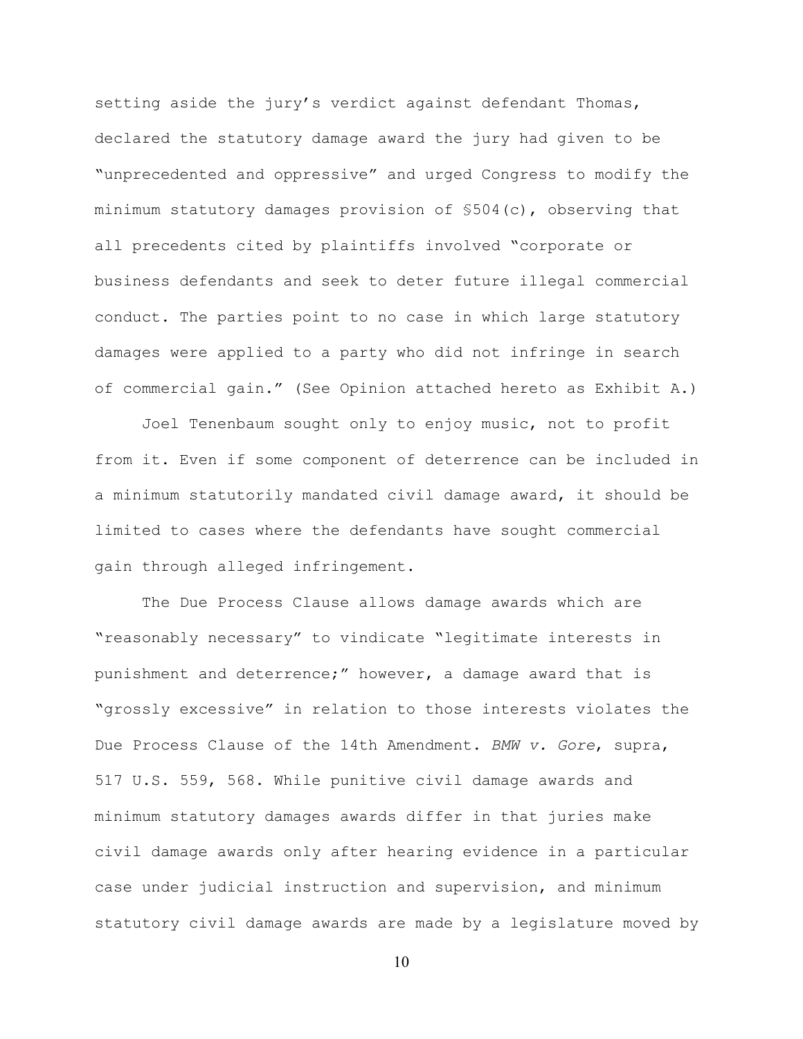setting aside the jury's verdict against defendant Thomas, declared the statutory damage award the jury had given to be "unprecedented and oppressive" and urged Congress to modify the minimum statutory damages provision of §504(c), observing that all precedents cited by plaintiffs involved "corporate or business defendants and seek to deter future illegal commercial conduct. The parties point to no case in which large statutory damages were applied to a party who did not infringe in search of commercial gain." (See Opinion attached hereto as Exhibit A.)

Joel Tenenbaum sought only to enjoy music, not to profit from it. Even if some component of deterrence can be included in a minimum statutorily mandated civil damage award, it should be limited to cases where the defendants have sought commercial gain through alleged infringement.

The Due Process Clause allows damage awards which are "reasonably necessary" to vindicate "legitimate interests in punishment and deterrence;" however, a damage award that is "grossly excessive" in relation to those interests violates the Due Process Clause of the 14th Amendment. *BMW v. Gore*, supra, 517 U.S. 559, 568. While punitive civil damage awards and minimum statutory damages awards differ in that juries make civil damage awards only after hearing evidence in a particular case under judicial instruction and supervision, and minimum statutory civil damage awards are made by a legislature moved by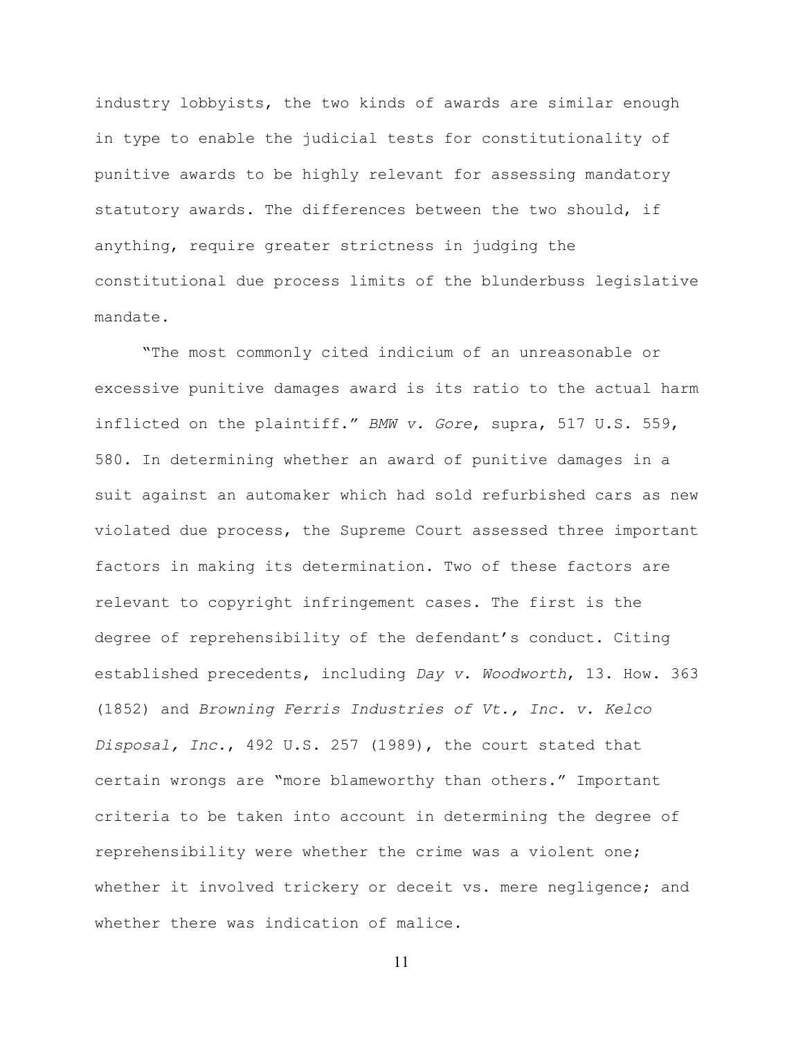industry lobbyists, the two kinds of awards are similar enough in type to enable the judicial tests for constitutionality of punitive awards to be highly relevant for assessing mandatory statutory awards. The differences between the two should, if anything, require greater strictness in judging the constitutional due process limits of the blunderbuss legislative mandate.

"The most commonly cited indicium of an unreasonable or excessive punitive damages award is its ratio to the actual harm inflicted on the plaintiff." *BMW v. Gore*, supra, 517 U.S. 559, 580. In determining whether an award of punitive damages in a suit against an automaker which had sold refurbished cars as new violated due process, the Supreme Court assessed three important factors in making its determination. Two of these factors are relevant to copyright infringement cases. The first is the degree of reprehensibility of the defendant's conduct. Citing established precedents, including *Day v. Woodworth*, 13. How. 363 (1852) and *Browning Ferris Industries of Vt., Inc. v. Kelco Disposal, Inc.*, 492 U.S. 257 (1989), the court stated that certain wrongs are "more blameworthy than others." Important criteria to be taken into account in determining the degree of reprehensibility were whether the crime was a violent one; whether it involved trickery or deceit vs. mere negligence; and whether there was indication of malice.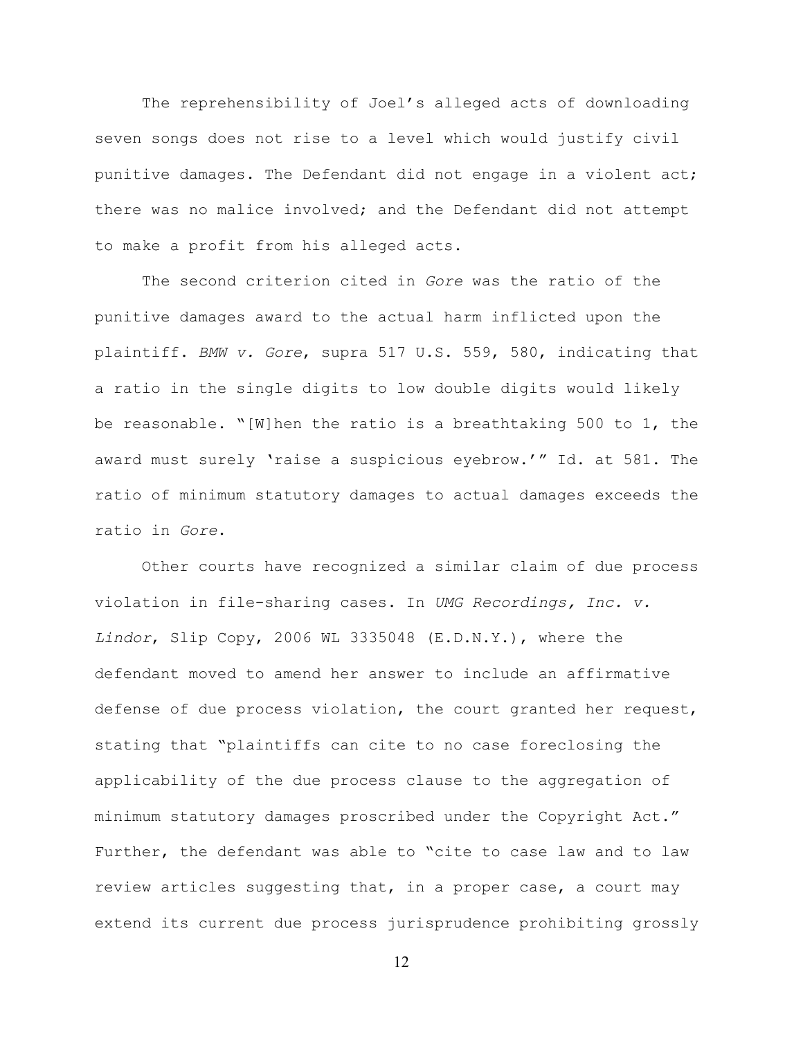The reprehensibility of Joel's alleged acts of downloading seven songs does not rise to a level which would justify civil punitive damages. The Defendant did not engage in a violent act; there was no malice involved; and the Defendant did not attempt to make a profit from his alleged acts.

The second criterion cited in *Gore* was the ratio of the punitive damages award to the actual harm inflicted upon the plaintiff. *BMW v. Gore*, supra 517 U.S. 559, 580, indicating that a ratio in the single digits to low double digits would likely be reasonable. "[W]hen the ratio is a breathtaking 500 to 1, the award must surely 'raise a suspicious eyebrow.'" Id. at 581. The ratio of minimum statutory damages to actual damages exceeds the ratio in *Gore*.

Other courts have recognized a similar claim of due process violation in file-sharing cases. In *UMG Recordings, Inc. v. Lindor*, Slip Copy, 2006 WL 3335048 (E.D.N.Y.), where the defendant moved to amend her answer to include an affirmative defense of due process violation, the court granted her request, stating that "plaintiffs can cite to no case foreclosing the applicability of the due process clause to the aggregation of minimum statutory damages proscribed under the Copyright Act." Further, the defendant was able to "cite to case law and to law review articles suggesting that, in a proper case, a court may extend its current due process jurisprudence prohibiting grossly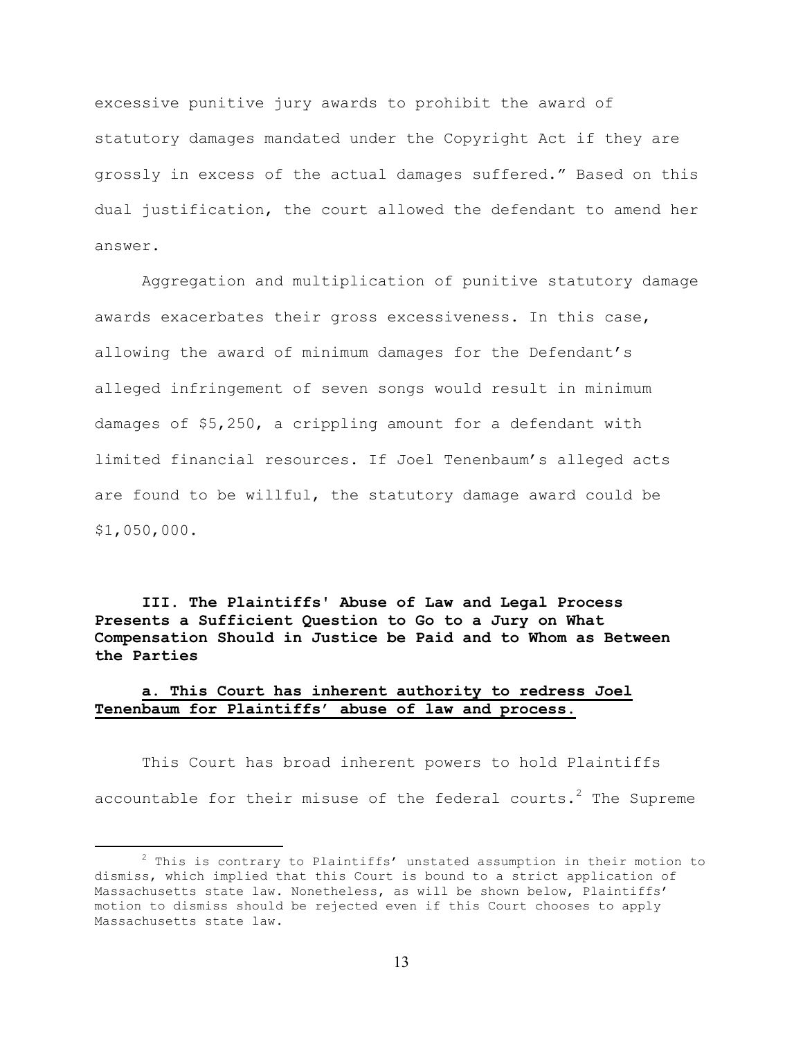excessive punitive jury awards to prohibit the award of statutory damages mandated under the Copyright Act if they are grossly in excess of the actual damages suffered." Based on this dual justification, the court allowed the defendant to amend her answer.

Aggregation and multiplication of punitive statutory damage awards exacerbates their gross excessiveness. In this case, allowing the award of minimum damages for the Defendant's alleged infringement of seven songs would result in minimum damages of \$5,250, a crippling amount for a defendant with limited financial resources. If Joel Tenenbaum's alleged acts are found to be willful, the statutory damage award could be \$1,050,000.

**III. The Plaintiffs' Abuse of Law and Legal Process Presents a Sufficient Question to Go to a Jury on What Compensation Should in Justice be Paid and to Whom as Between the Parties**

# **a. This Court has inherent authority to redress Joel Tenenbaum for Plaintiffs' abuse of law and process.**

This Court has broad inherent powers to hold Plaintiffs accountable for their misuse of the federal courts. $^2$  The Supreme

 $\overline{\phantom{a}}$  2  $2$  This is contrary to Plaintiffs' unstated assumption in their motion to dismiss, which implied that this Court is bound to a strict application of Massachusetts state law. Nonetheless, as will be shown below, Plaintiffs' motion to dismiss should be rejected even if this Court chooses to apply Massachusetts state law.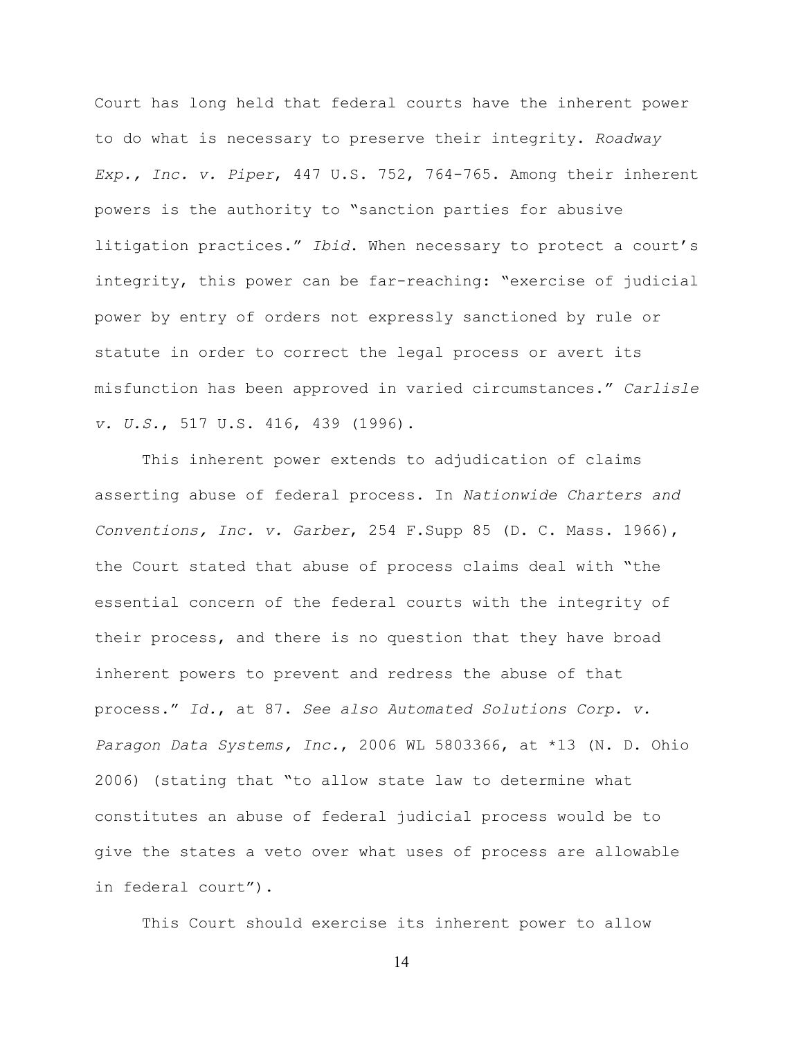Court has long held that federal courts have the inherent power to do what is necessary to preserve their integrity. *Roadway Exp., Inc. v. Piper*, 447 U.S. 752, 764-765. Among their inherent powers is the authority to "sanction parties for abusive litigation practices." *Ibid*. When necessary to protect a court's integrity, this power can be far-reaching: "exercise of judicial power by entry of orders not expressly sanctioned by rule or statute in order to correct the legal process or avert its misfunction has been approved in varied circumstances." *Carlisle v. U.S.*, 517 U.S. 416, 439 (1996).

This inherent power extends to adjudication of claims asserting abuse of federal process. In *Nationwide Charters and Conventions, Inc. v. Garber*, 254 F.Supp 85 (D. C. Mass. 1966), the Court stated that abuse of process claims deal with "the essential concern of the federal courts with the integrity of their process, and there is no question that they have broad inherent powers to prevent and redress the abuse of that process." *Id.*, at 87. *See also Automated Solutions Corp. v. Paragon Data Systems, Inc.*, 2006 WL 5803366, at \*13 (N. D. Ohio 2006) (stating that "to allow state law to determine what constitutes an abuse of federal judicial process would be to give the states a veto over what uses of process are allowable in federal court").

This Court should exercise its inherent power to allow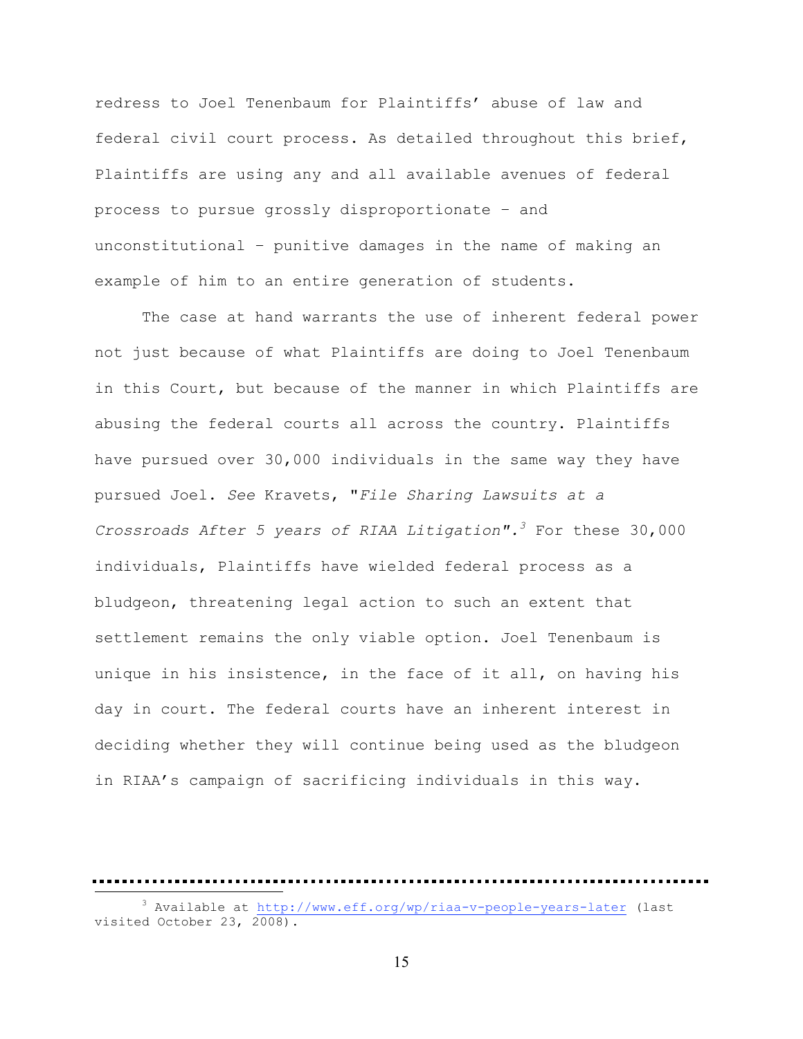redress to Joel Tenenbaum for Plaintiffs' abuse of law and federal civil court process. As detailed throughout this brief, Plaintiffs are using any and all available avenues of federal process to pursue grossly disproportionate – and unconstitutional – punitive damages in the name of making an example of him to an entire generation of students.

The case at hand warrants the use of inherent federal power not just because of what Plaintiffs are doing to Joel Tenenbaum in this Court, but because of the manner in which Plaintiffs are abusing the federal courts all across the country. Plaintiffs have pursued over 30,000 individuals in the same way they have pursued Joel. *See* Kravets, "*File Sharing Lawsuits at a Crossroads After 5 years of RIAA Litigation".3* For these 30,000 individuals, Plaintiffs have wielded federal process as a bludgeon, threatening legal action to such an extent that settlement remains the only viable option. Joel Tenenbaum is unique in his insistence, in the face of it all, on having his day in court. The federal courts have an inherent interest in deciding whether they will continue being used as the bludgeon in RIAA's campaign of sacrificing individuals in this way.

<sup>3</sup>

<sup>&</sup>lt;sup>3</sup> Available at http://www.eff.org/wp/riaa-v-people-years-later (last visited October 23, 2008).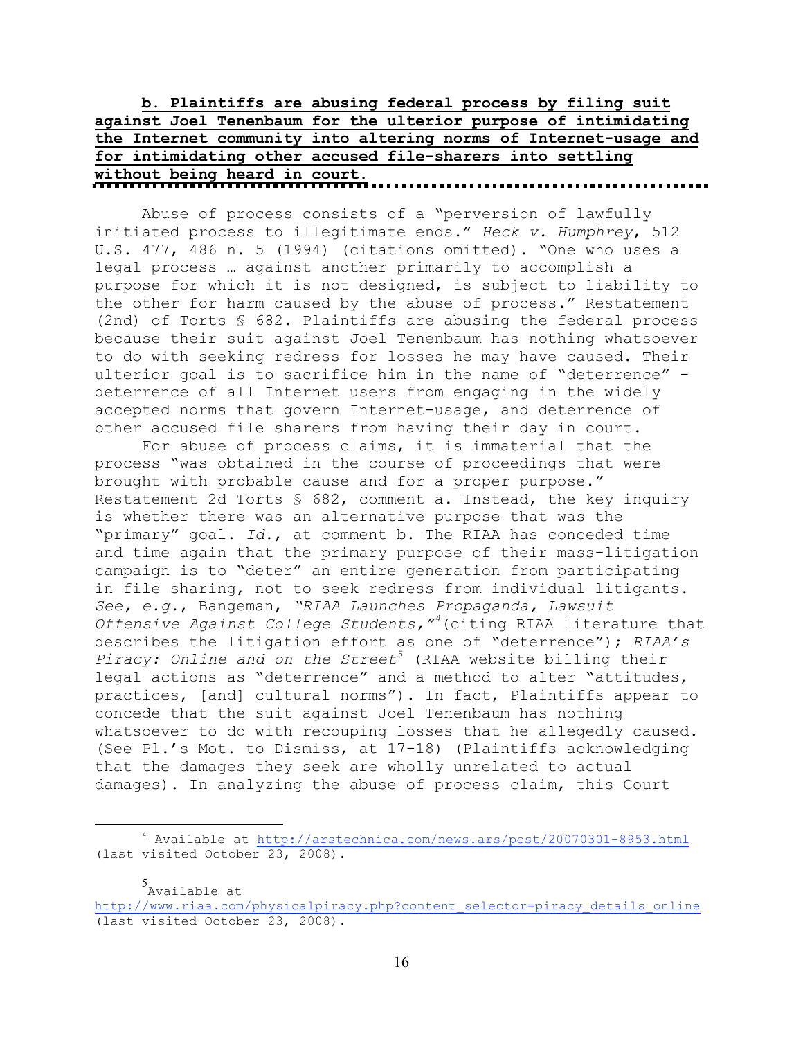|  |  |  |  |  |  |  | b. Plaintiffs are abusing federal process by filing suit         |  |  |  |  |
|--|--|--|--|--|--|--|------------------------------------------------------------------|--|--|--|--|
|  |  |  |  |  |  |  | against Joel Tenenbaum for the ulterior purpose of intimidating  |  |  |  |  |
|  |  |  |  |  |  |  | the Internet community into altering norms of Internet-usage and |  |  |  |  |
|  |  |  |  |  |  |  | for intimidating other accused file-sharers into settling        |  |  |  |  |
|  |  |  |  |  |  |  |                                                                  |  |  |  |  |

Abuse of process consists of a "perversion of lawfully initiated process to illegitimate ends." *Heck v. Humphrey*, 512 U.S. 477, 486 n. 5 (1994) (citations omitted). "One who uses a legal process … against another primarily to accomplish a purpose for which it is not designed, is subject to liability to the other for harm caused by the abuse of process." Restatement (2nd) of Torts § 682. Plaintiffs are abusing the federal process because their suit against Joel Tenenbaum has nothing whatsoever to do with seeking redress for losses he may have caused. Their ulterior goal is to sacrifice him in the name of "deterrence" deterrence of all Internet users from engaging in the widely accepted norms that govern Internet-usage, and deterrence of other accused file sharers from having their day in court.

For abuse of process claims, it is immaterial that the process "was obtained in the course of proceedings that were brought with probable cause and for a proper purpose." Restatement 2d Torts § 682, comment a. Instead, the key inquiry is whether there was an alternative purpose that was the "primary" goal. *Id*., at comment b. The RIAA has conceded time and time again that the primary purpose of their mass-litigation campaign is to "deter" an entire generation from participating in file sharing, not to seek redress from individual litigants. *See, e.g.*, Bangeman, *"RIAA Launches Propaganda, Lawsuit Offensive Against College Students,"4* (citing RIAA literature that describes the litigation effort as one of "deterrence"); *RIAA's*  Piracy: Online and on the Street<sup>5</sup> (RIAA website billing their legal actions as "deterrence" and a method to alter "attitudes, practices, [and] cultural norms"). In fact, Plaintiffs appear to concede that the suit against Joel Tenenbaum has nothing whatsoever to do with recouping losses that he allegedly caused. (See Pl.'s Mot. to Dismiss, at 17-18) (Plaintiffs acknowledging that the damages they seek are wholly unrelated to actual damages). In analyzing the abuse of process claim, this Court

5 Available at

 $\frac{4}{4}$  Available at http://arstechnica.com/news.ars/post/20070301-8953.html (last visited October 23, 2008).

http://www.riaa.com/physicalpiracy.php?content\_selector=piracy\_details\_online (last visited October 23, 2008).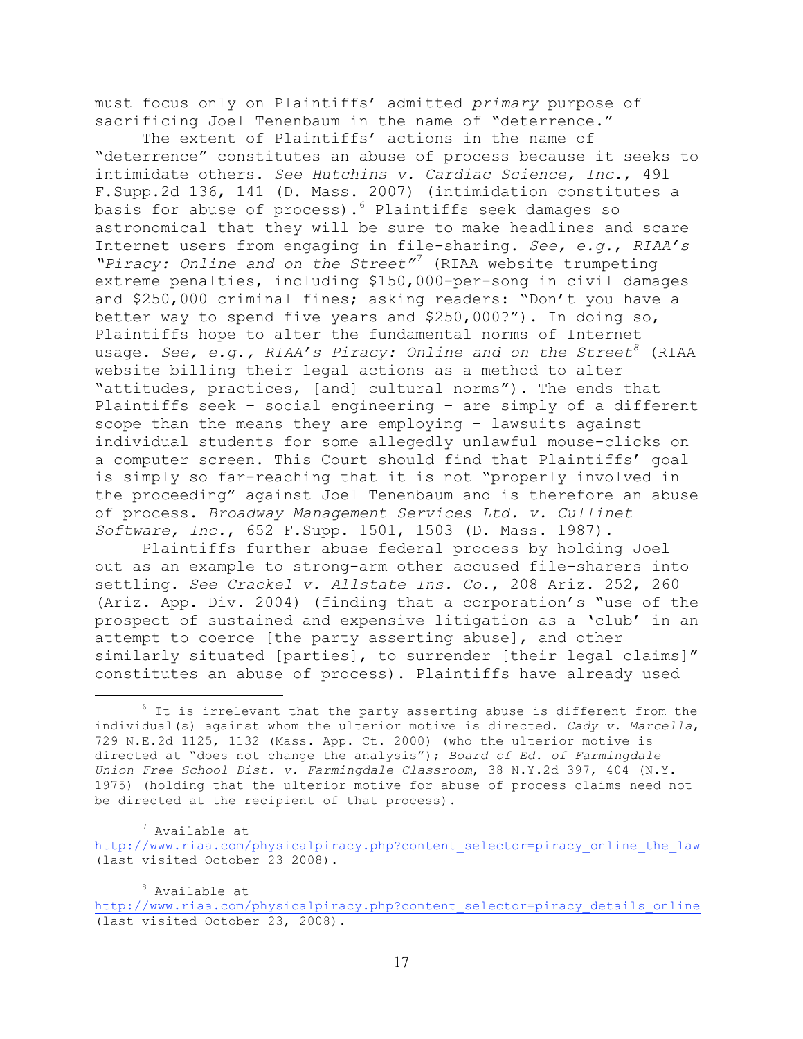must focus only on Plaintiffs' admitted *primary* purpose of sacrificing Joel Tenenbaum in the name of "deterrence."

The extent of Plaintiffs' actions in the name of "deterrence" constitutes an abuse of process because it seeks to intimidate others. *See Hutchins v. Cardiac Science, Inc.*, 491 F.Supp.2d 136, 141 (D. Mass. 2007) (intimidation constitutes a basis for abuse of process). $^6$  Plaintiffs seek damages so astronomical that they will be sure to make headlines and scare Internet users from engaging in file-sharing. *See, e.g.*, *RIAA's "Piracy: Online and on the Street"7* (RIAA website trumpeting extreme penalties, including \$150,000-per-song in civil damages and \$250,000 criminal fines; asking readers: "Don't you have a better way to spend five years and \$250,000?"). In doing so, Plaintiffs hope to alter the fundamental norms of Internet usage. *See, e.g., RIAA's Piracy: Online and on the Street<sup>8</sup> (RIAA* website billing their legal actions as a method to alter "attitudes, practices, [and] cultural norms"). The ends that Plaintiffs seek – social engineering – are simply of a different scope than the means they are employing – lawsuits against individual students for some allegedly unlawful mouse-clicks on a computer screen. This Court should find that Plaintiffs' goal is simply so far-reaching that it is not "properly involved in the proceeding" against Joel Tenenbaum and is therefore an abuse of process. *Broadway Management Services Ltd. v. Cullinet Software, Inc.*, 652 F.Supp. 1501, 1503 (D. Mass. 1987).

Plaintiffs further abuse federal process by holding Joel out as an example to strong-arm other accused file-sharers into settling. *See Crackel v. Allstate Ins. Co.*, 208 Ariz. 252, 260 (Ariz. App. Div. 2004) (finding that a corporation's "use of the prospect of sustained and expensive litigation as a 'club' in an attempt to coerce [the party asserting abuse], and other similarly situated [parties], to surrender [their legal claims]" constitutes an abuse of process). Plaintiffs have already used

7 Available at

http://www.riaa.com/physicalpiracy.php?content\_selector=piracy\_online\_the\_law (last visited October 23 2008).

8 Available at

<sup>6</sup>  $6$  It is irrelevant that the party asserting abuse is different from the individual(s) against whom the ulterior motive is directed. *Cady v. Marcella*, 729 N.E.2d 1125, 1132 (Mass. App. Ct. 2000) (who the ulterior motive is directed at "does not change the analysis"); *Board of Ed. of Farmingdale Union Free School Dist. v. Farmingdale Classroom*, 38 N.Y.2d 397, 404 (N.Y. 1975) (holding that the ulterior motive for abuse of process claims need not be directed at the recipient of that process).

http://www.riaa.com/physicalpiracy.php?content\_selector=piracy\_details\_online (last visited October 23, 2008).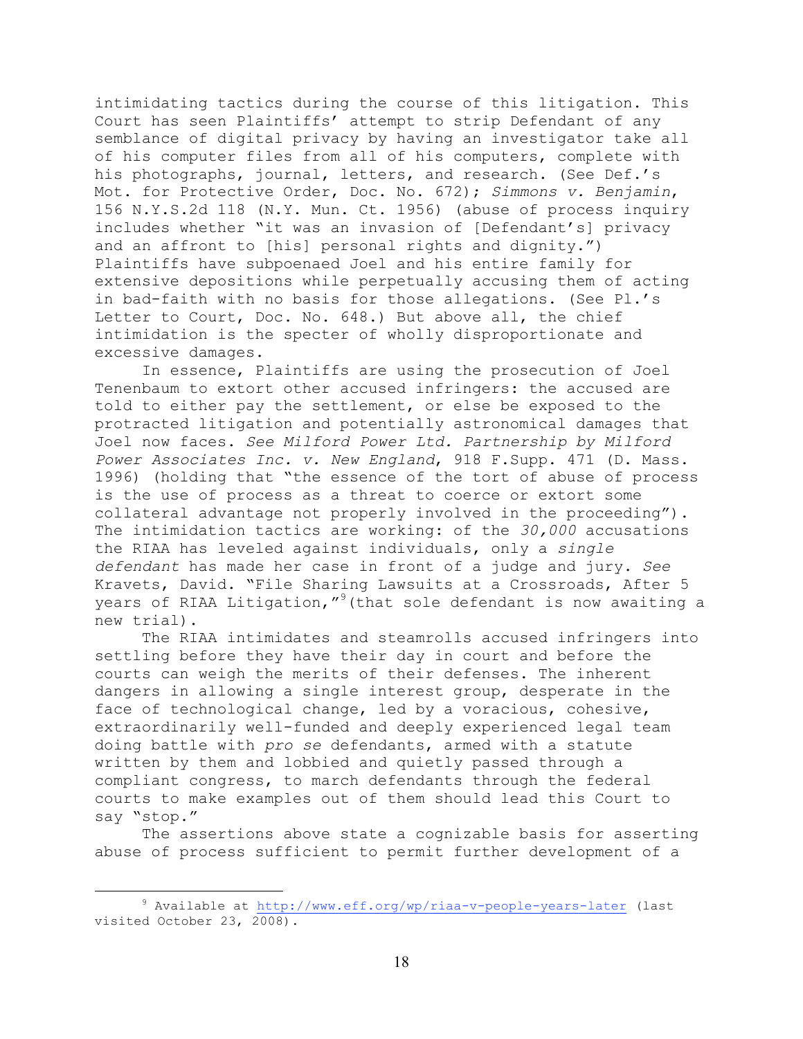intimidating tactics during the course of this litigation. This Court has seen Plaintiffs' attempt to strip Defendant of any semblance of digital privacy by having an investigator take all of his computer files from all of his computers, complete with his photographs, journal, letters, and research. (See Def.'s Mot. for Protective Order, Doc. No. 672); *Simmons v. Benjamin*, 156 N.Y.S.2d 118 (N.Y. Mun. Ct. 1956) (abuse of process inquiry includes whether "it was an invasion of [Defendant's] privacy and an affront to [his] personal rights and dignity.") Plaintiffs have subpoenaed Joel and his entire family for extensive depositions while perpetually accusing them of acting in bad-faith with no basis for those allegations. (See Pl.'s Letter to Court, Doc. No. 648.) But above all, the chief intimidation is the specter of wholly disproportionate and excessive damages.

In essence, Plaintiffs are using the prosecution of Joel Tenenbaum to extort other accused infringers: the accused are told to either pay the settlement, or else be exposed to the protracted litigation and potentially astronomical damages that Joel now faces. *See Milford Power Ltd. Partnership by Milford Power Associates Inc. v. New England*, 918 F.Supp. 471 (D. Mass. 1996) (holding that "the essence of the tort of abuse of process is the use of process as a threat to coerce or extort some collateral advantage not properly involved in the proceeding"). The intimidation tactics are working: of the *30,000* accusations the RIAA has leveled against individuals, only a *single defendant* has made her case in front of a judge and jury. *See* Kravets, David. "File Sharing Lawsuits at a Crossroads, After 5 years of RIAA Litigation,"<sup>9</sup> (that sole defendant is now awaiting a new trial).

The RIAA intimidates and steamrolls accused infringers into settling before they have their day in court and before the courts can weigh the merits of their defenses. The inherent dangers in allowing a single interest group, desperate in the face of technological change, led by a voracious, cohesive, extraordinarily well-funded and deeply experienced legal team doing battle with *pro se* defendants, armed with a statute written by them and lobbied and quietly passed through a compliant congress, to march defendants through the federal courts to make examples out of them should lead this Court to say "stop."

The assertions above state a cognizable basis for asserting abuse of process sufficient to permit further development of a

 $\frac{1}{\sqrt{9}}$  $9$  Available at http://www.eff.org/wp/riaa-v-people-years-later (last visited October 23, 2008).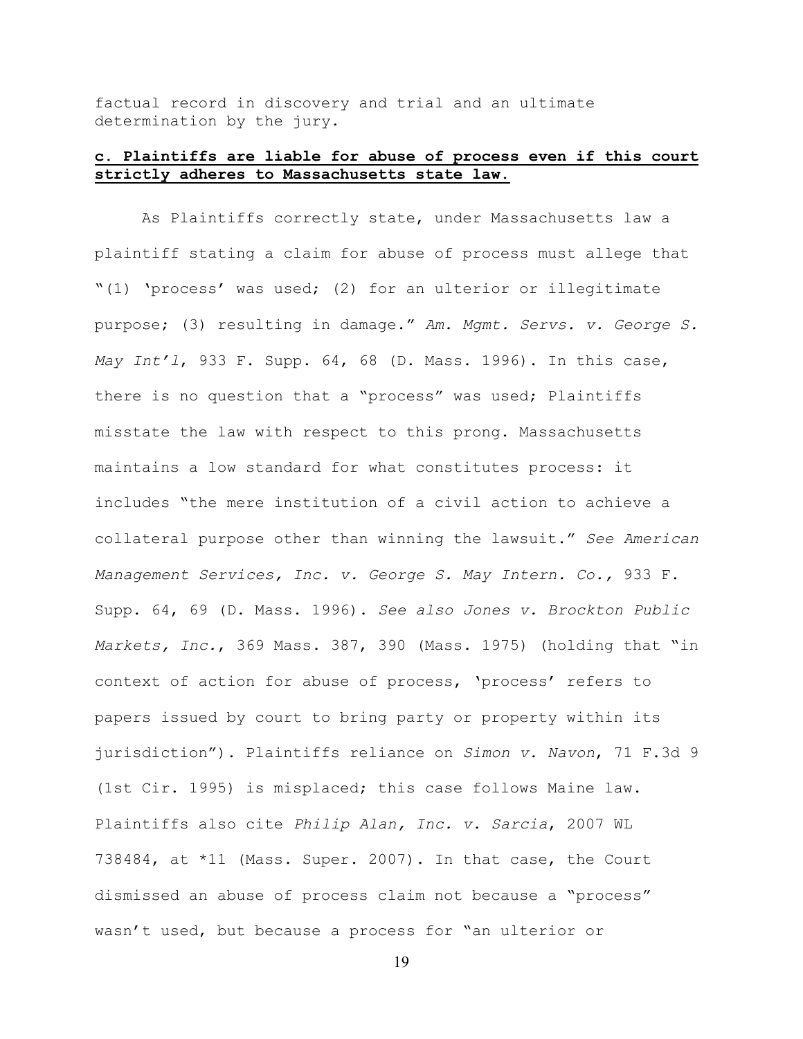factual record in discovery and trial and an ultimate determination by the jury.

# **c. Plaintiffs are liable for abuse of process even if this court strictly adheres to Massachusetts state law.**

As Plaintiffs correctly state, under Massachusetts law a plaintiff stating a claim for abuse of process must allege that "(1) 'process' was used; (2) for an ulterior or illegitimate purpose; (3) resulting in damage." *Am. Mgmt. Servs. v. George S. May Int'l*, 933 F. Supp. 64, 68 (D. Mass. 1996). In this case, there is no question that a "process" was used; Plaintiffs misstate the law with respect to this prong. Massachusetts maintains a low standard for what constitutes process: it includes "the mere institution of a civil action to achieve a collateral purpose other than winning the lawsuit." *See American Management Services, Inc. v. George S. May Intern. Co.,* 933 F. Supp. 64, 69 (D. Mass. 1996). *See also Jones v. Brockton Public Markets, Inc.*, 369 Mass. 387, 390 (Mass. 1975) (holding that "in context of action for abuse of process, 'process' refers to papers issued by court to bring party or property within its jurisdiction"). Plaintiffs reliance on *Simon v. Navon*, 71 F.3d 9 (1st Cir. 1995) is misplaced; this case follows Maine law. Plaintiffs also cite *Philip Alan, Inc. v. Sarcia*, 2007 WL 738484, at \*11 (Mass. Super. 2007). In that case, the Court dismissed an abuse of process claim not because a "process" wasn't used, but because a process for "an ulterior or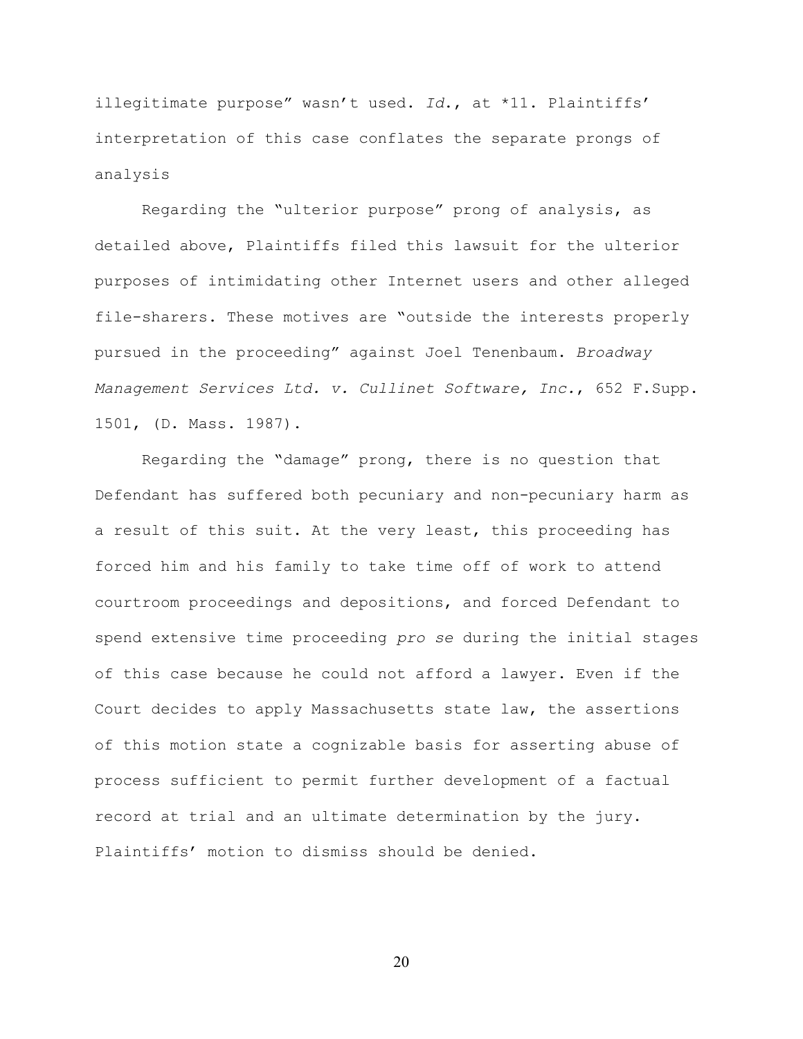illegitimate purpose" wasn't used. *Id*., at \*11. Plaintiffs' interpretation of this case conflates the separate prongs of analysis

Regarding the "ulterior purpose" prong of analysis, as detailed above, Plaintiffs filed this lawsuit for the ulterior purposes of intimidating other Internet users and other alleged file-sharers. These motives are "outside the interests properly pursued in the proceeding" against Joel Tenenbaum. *Broadway Management Services Ltd. v. Cullinet Software, Inc.*, 652 F.Supp. 1501, (D. Mass. 1987).

Regarding the "damage" prong, there is no question that Defendant has suffered both pecuniary and non-pecuniary harm as a result of this suit. At the very least, this proceeding has forced him and his family to take time off of work to attend courtroom proceedings and depositions, and forced Defendant to spend extensive time proceeding *pro se* during the initial stages of this case because he could not afford a lawyer. Even if the Court decides to apply Massachusetts state law, the assertions of this motion state a cognizable basis for asserting abuse of process sufficient to permit further development of a factual record at trial and an ultimate determination by the jury. Plaintiffs' motion to dismiss should be denied.